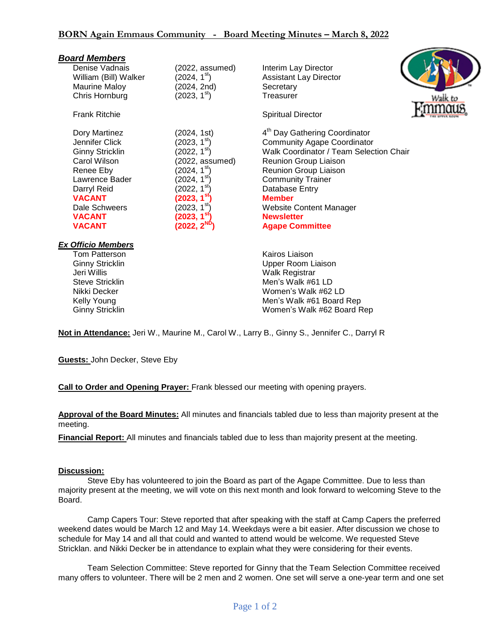| <b>Board Members</b>      |                          |                                           |
|---------------------------|--------------------------|-------------------------------------------|
| Denise Vadnais            | (2022, assumed)          | Interim Lay Director                      |
| William (Bill) Walker     | (2024, 1 <sup>st</sup> ) | <b>Assistant Lay Director</b>             |
| Maurine Maloy             | (2024, 2nd)              | Secretary                                 |
| Chris Hornburg            | (2023, 1 <sup>st</sup> ) | Treasurer<br>Walk to                      |
| <b>Frank Ritchie</b>      |                          | <b>Spiritual Director</b>                 |
| Dory Martinez             | (2024, 1st)              | 4 <sup>th</sup> Day Gathering Coordinator |
| Jennifer Click            | (2023, 1 <sup>st</sup> ) | <b>Community Agape Coordinator</b>        |
| <b>Ginny Stricklin</b>    | (2022, 1 <sup>st</sup> ) | Walk Coordinator / Team Selection Chair   |
| Carol Wilson              | (2022, assumed)          | Reunion Group Liaison                     |
| Renee Eby                 | (2024, 1 <sup>st</sup> ) | Reunion Group Liaison                     |
| Lawrence Bader            | (2024, 1 <sup>st</sup> ) | <b>Community Trainer</b>                  |
| Darryl Reid               | (2022, 1 <sup>st</sup> ) | Database Entry                            |
| <b>VACANT</b>             | (2023, 1 <sup>st</sup> ) | <b>Member</b>                             |
| Dale Schweers             | (2023, 1 <sup>st</sup> ) | <b>Website Content Manager</b>            |
| <b>VACANT</b>             | (2023, 1 $^{\rm st})$    | <b>Newsletter</b>                         |
| <b>VACANT</b>             | $(2022, 2^{\text{ND}})$  | <b>Agape Committee</b>                    |
| <b>Ex Officio Members</b> |                          |                                           |
| <b>Tom Patterson</b>      |                          | Kairos Liaison                            |
| <b>Ginny Stricklin</b>    |                          | <b>Upper Room Liaison</b>                 |
| Jeri Willis               |                          | <b>Walk Registrar</b>                     |
| Steve Stricklin           |                          | Men's Walk #61 LD                         |
| Nikki Decker              |                          | Women's Walk #62 LD                       |
| Kelly Young               |                          | Men's Walk #61 Board Rep                  |
| <b>Ginny Stricklin</b>    |                          | Women's Walk #62 Board Rep                |

**Not in Attendance:** Jeri W., Maurine M., Carol W., Larry B., Ginny S., Jennifer C., Darryl R

**Guests:** John Decker, Steve Eby

**Call to Order and Opening Prayer:** Frank blessed our meeting with opening prayers.

**Approval of the Board Minutes:** All minutes and financials tabled due to less than majority present at the meeting.

**Financial Report:** All minutes and financials tabled due to less than majority present at the meeting.

## **Discussion:**

Steve Eby has volunteered to join the Board as part of the Agape Committee. Due to less than majority present at the meeting, we will vote on this next month and look forward to welcoming Steve to the Board.

Camp Capers Tour: Steve reported that after speaking with the staff at Camp Capers the preferred weekend dates would be March 12 and May 14. Weekdays were a bit easier. After discussion we chose to schedule for May 14 and all that could and wanted to attend would be welcome. We requested Steve Stricklan. and Nikki Decker be in attendance to explain what they were considering for their events.

Team Selection Committee: Steve reported for Ginny that the Team Selection Committee received many offers to volunteer. There will be 2 men and 2 women. One set will serve a one-year term and one set